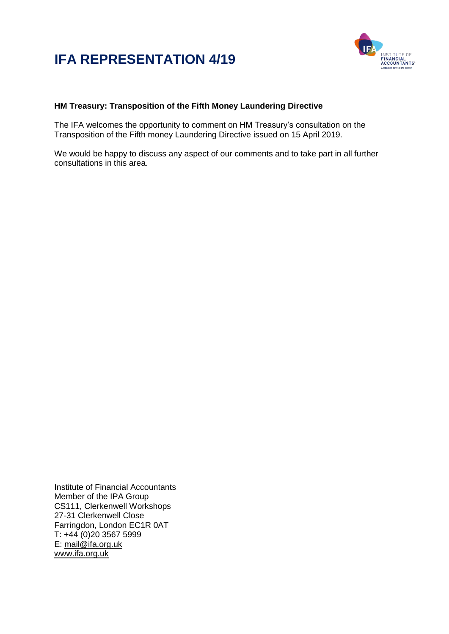# **IFA REPRESENTATION 4/19**



## **HM Treasury: Transposition of the Fifth Money Laundering Directive**

The IFA welcomes the opportunity to comment on HM Treasury's consultation on the Transposition of the Fifth money Laundering Directive issued on 15 April 2019.

We would be happy to discuss any aspect of our comments and to take part in all further consultations in this area.

Institute of Financial Accountants Member of the IPA Group CS111, Clerkenwell Workshops 27-31 Clerkenwell Close Farringdon, London EC1R 0AT T: +44 (0)20 3567 5999 E: [mail@ifa.org.uk](mailto:mail@ifa.org.uk) [www.ifa.org.uk](http://www.ifa.org.uk/)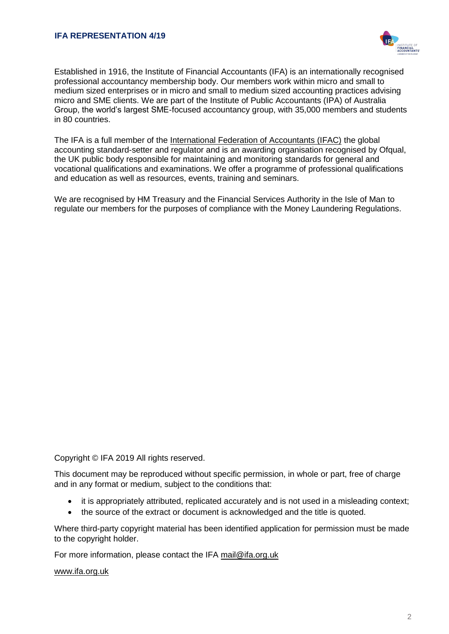

Established in 1916, the Institute of Financial Accountants (IFA) is an internationally recognised professional accountancy membership body. Our members work within micro and small to medium sized enterprises or in micro and small to medium sized accounting practices advising micro and SME clients. We are part of the Institute of Public Accountants (IPA) of Australia Group, the world's largest SME-focused accountancy group, with 35,000 members and students in 80 countries.

The IFA is a full member of the [International Federation of Accountants \(IFAC\)](http://www.ifac.org/) the global accounting standard-setter and regulator and is an awarding organisation recognised by Ofqual, the UK public body responsible for maintaining and monitoring standards for general and vocational qualifications and examinations. We offer a programme of professional qualifications and education as well as resources, events, training and seminars.

We are recognised by HM Treasury and the Financial Services Authority in the Isle of Man to regulate our members for the purposes of compliance with the Money Laundering Regulations.

Copyright © IFA 2019 All rights reserved.

This document may be reproduced without specific permission, in whole or part, free of charge and in any format or medium, subject to the conditions that:

- it is appropriately attributed, replicated accurately and is not used in a misleading context;
- the source of the extract or document is acknowledged and the title is quoted.

Where third-party copyright material has been identified application for permission must be made to the copyright holder.

For more information, please contact the IFA [mail@ifa.org.uk](file:///C:/Users/Anne/AppData/Local/Microsoft/Windows/Temporary%20Internet%20Files/Content.IE5/IWFVUZST/mail@ifa.org.uk)

#### [www.ifa.org.uk](http://www.ifa.org.uk/)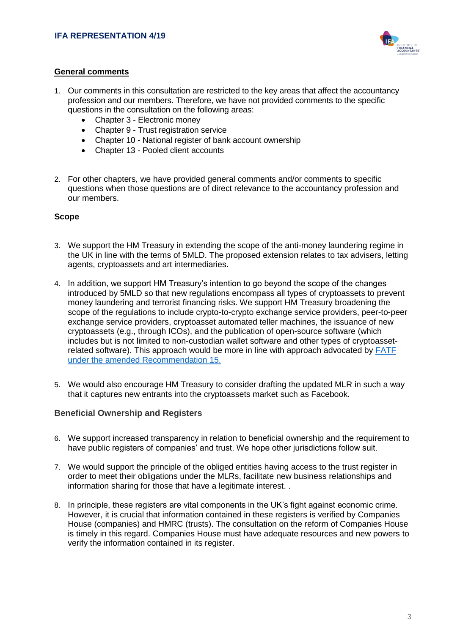

## **General comments**

- 1. Our comments in this consultation are restricted to the key areas that affect the accountancy profession and our members. Therefore, we have not provided comments to the specific questions in the consultation on the following areas:
	- Chapter 3 Electronic money
	- Chapter 9 Trust registration service
	- Chapter 10 National register of bank account ownership
	- Chapter 13 Pooled client accounts
- 2. For other chapters, we have provided general comments and/or comments to specific questions when those questions are of direct relevance to the accountancy profession and our members.

## **Scope**

- 3. We support the HM Treasury in extending the scope of the anti-money laundering regime in the UK in line with the terms of 5MLD. The proposed extension relates to tax advisers, letting agents, cryptoassets and art intermediaries.
- 4. In addition, we support HM Treasury's intention to go beyond the scope of the changes introduced by 5MLD so that new regulations encompass all types of cryptoassets to prevent money laundering and terrorist financing risks. We support HM Treasury broadening the scope of the regulations to include crypto-to-crypto exchange service providers, peer-to-peer exchange service providers, cryptoasset automated teller machines, the issuance of new cryptoassets (e.g., through ICOs), and the publication of open-source software (which includes but is not limited to non-custodian wallet software and other types of cryptoassetrelated software). This approach would be more in line with approach advocated by [FATF](https://www.fatf-gafi.org/publications/fatfrecommendations/documents/regulation-virtual-assets-interpretive-note.html)  [under the amended Recommendation 15.](https://www.fatf-gafi.org/publications/fatfrecommendations/documents/regulation-virtual-assets-interpretive-note.html)
- 5. We would also encourage HM Treasury to consider drafting the updated MLR in such a way that it captures new entrants into the cryptoassets market such as Facebook.

## **Beneficial Ownership and Registers**

- 6. We support increased transparency in relation to beneficial ownership and the requirement to have public registers of companies' and trust. We hope other jurisdictions follow suit.
- 7. We would support the principle of the obliged entities having access to the trust register in order to meet their obligations under the MLRs, facilitate new business relationships and information sharing for those that have a legitimate interest. .
- 8. In principle, these registers are vital components in the UK's fight against economic crime. However, it is crucial that information contained in these registers is verified by Companies House (companies) and HMRC (trusts). The consultation on the reform of Companies House is timely in this regard. Companies House must have adequate resources and new powers to verify the information contained in its register.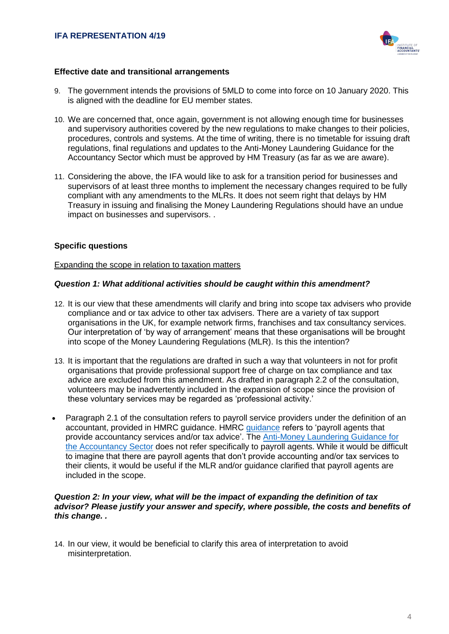

## **Effective date and transitional arrangements**

- 9. The government intends the provisions of 5MLD to come into force on 10 January 2020. This is aligned with the deadline for EU member states.
- 10. We are concerned that, once again, government is not allowing enough time for businesses and supervisory authorities covered by the new regulations to make changes to their policies, procedures, controls and systems. At the time of writing, there is no timetable for issuing draft regulations, final regulations and updates to the Anti-Money Laundering Guidance for the Accountancy Sector which must be approved by HM Treasury (as far as we are aware).
- 11. Considering the above, the IFA would like to ask for a transition period for businesses and supervisors of at least three months to implement the necessary changes required to be fully compliant with any amendments to the MLRs. It does not seem right that delays by HM Treasury in issuing and finalising the Money Laundering Regulations should have an undue impact on businesses and supervisors. .

## **Specific questions**

#### Expanding the scope in relation to taxation matters

## *Question 1: What additional activities should be caught within this amendment?*

- 12. It is our view that these amendments will clarify and bring into scope tax advisers who provide compliance and or tax advice to other tax advisers. There are a variety of tax support organisations in the UK, for example network firms, franchises and tax consultancy services. Our interpretation of 'by way of arrangement' means that these organisations will be brought into scope of the Money Laundering Regulations (MLR). Is this the intention?
- 13. It is important that the regulations are drafted in such a way that volunteers in not for profit organisations that provide professional support free of charge on tax compliance and tax advice are excluded from this amendment. As drafted in paragraph 2.2 of the consultation, volunteers may be inadvertently included in the expansion of scope since the provision of these voluntary services may be regarded as 'professional activity.'
- Paragraph 2.1 of the consultation refers to payroll service providers under the definition of an accountant, provided in HMRC guidance. HMRC [guidance](https://www.gov.uk/guidance/money-laundering-regulations-accountancy-service-provider-registration#who-does-not-need-to-register) refers to 'payroll agents that provide accountancy services and/or tax advice'. The [Anti-Money](https://www.ccab.org.uk/documents/FinalAMLGuidance2018Formattedfinal.pdf) Laundering Guidance for the [Accountancy](https://www.ccab.org.uk/documents/FinalAMLGuidance2018Formattedfinal.pdf) Sector does not refer specifically to payroll agents. While it would be difficult to imagine that there are payroll agents that don't provide accounting and/or tax services to their clients, it would be useful if the MLR and/or guidance clarified that payroll agents are included in the scope.

#### *Question 2: In your view, what will be the impact of expanding the definition of tax advisor? Please justify your answer and specify, where possible, the costs and benefits of this change. .*

14. In our view, it would be beneficial to clarify this area of interpretation to avoid misinterpretation.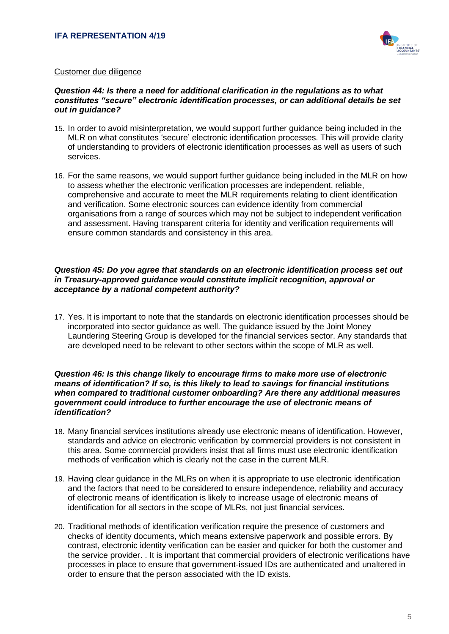

## Customer due diligence

## *Question 44: Is there a need for additional clarification in the regulations as to what constitutes "secure" electronic identification processes, or can additional details be set out in guidance?*

- 15. In order to avoid misinterpretation, we would support further guidance being included in the MLR on what constitutes 'secure' electronic identification processes. This will provide clarity of understanding to providers of electronic identification processes as well as users of such services.
- 16. For the same reasons, we would support further guidance being included in the MLR on how to assess whether the electronic verification processes are independent, reliable, comprehensive and accurate to meet the MLR requirements relating to client identification and verification. Some electronic sources can evidence identity from commercial organisations from a range of sources which may not be subject to independent verification and assessment. Having transparent criteria for identity and verification requirements will ensure common standards and consistency in this area.

#### *Question 45: Do you agree that standards on an electronic identification process set out in Treasury-approved guidance would constitute implicit recognition, approval or acceptance by a national competent authority?*

17. Yes. It is important to note that the standards on electronic identification processes should be incorporated into sector guidance as well. The guidance issued by the Joint Money Laundering Steering Group is developed for the financial services sector. Any standards that are developed need to be relevant to other sectors within the scope of MLR as well.

#### *Question 46: Is this change likely to encourage firms to make more use of electronic means of identification? If so, is this likely to lead to savings for financial institutions when compared to traditional customer onboarding? Are there any additional measures government could introduce to further encourage the use of electronic means of identification?*

- 18. Many financial services institutions already use electronic means of identification. However, standards and advice on electronic verification by commercial providers is not consistent in this area. Some commercial providers insist that all firms must use electronic identification methods of verification which is clearly not the case in the current MLR.
- 19. Having clear guidance in the MLRs on when it is appropriate to use electronic identification and the factors that need to be considered to ensure independence, reliability and accuracy of electronic means of identification is likely to increase usage of electronic means of identification for all sectors in the scope of MLRs, not just financial services.
- 20. Traditional methods of identification verification require the presence of customers and checks of identity documents, which means extensive paperwork and possible errors. By contrast, electronic identity verification can be easier and quicker for both the customer and the service provider. . It is important that commercial providers of electronic verifications have processes in place to ensure that government-issued IDs are authenticated and unaltered in order to ensure that the person associated with the ID exists.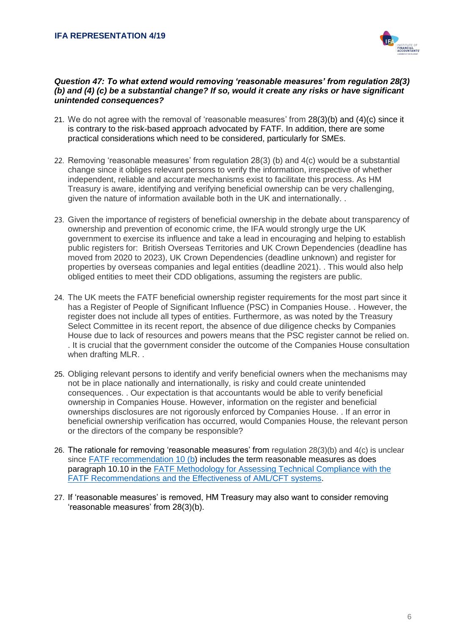

## *Question 47: To what extend would removing 'reasonable measures' from regulation 28(3) (b) and (4) (c) be a substantial change? If so, would it create any risks or have significant unintended consequences?*

- 21. We do not agree with the removal of 'reasonable measures' from 28(3)(b) and (4)(c) since it is contrary to the risk-based approach advocated by FATF. In addition, there are some practical considerations which need to be considered, particularly for SMEs.
- 22. Removing 'reasonable measures' from regulation 28(3) (b) and 4(c) would be a substantial change since it obliges relevant persons to verify the information, irrespective of whether independent, reliable and accurate mechanisms exist to facilitate this process. As HM Treasury is aware, identifying and verifying beneficial ownership can be very challenging, given the nature of information available both in the UK and internationally. .
- 23. Given the importance of registers of beneficial ownership in the debate about transparency of ownership and prevention of economic crime, the IFA would strongly urge the UK government to exercise its influence and take a lead in encouraging and helping to establish public registers for: British Overseas Territories and UK Crown Dependencies (deadline has moved from 2020 to 2023), UK Crown Dependencies (deadline unknown) and register for properties by overseas companies and legal entities (deadline 2021). . This would also help obliged entities to meet their CDD obligations, assuming the registers are public.
- 24. The UK meets the FATF beneficial ownership register requirements for the most part since it has a Register of People of Significant Influence (PSC) in Companies House. . However, the register does not include all types of entities. Furthermore, as was noted by the Treasury Select Committee in its recent report, the absence of due diligence checks by Companies House due to lack of resources and powers means that the PSC register cannot be relied on. . It is crucial that the government consider the outcome of the Companies House consultation when drafting MLR. .
- 25. Obliging relevant persons to identify and verify beneficial owners when the mechanisms may not be in place nationally and internationally, is risky and could create unintended consequences. . Our expectation is that accountants would be able to verify beneficial ownership in Companies House. However, information on the register and beneficial ownerships disclosures are not rigorously enforced by Companies House. . If an error in beneficial ownership verification has occurred, would Companies House, the relevant person or the directors of the company be responsible?
- 26. The rationale for removing 'reasonable measures' from regulation 28(3)(b) and 4(c) is unclear since [FATF recommendation 10 \(b\)](https://www.fatf-gafi.org/publications/fatfrecommendations/documents/fatf-recommendations.html) includes the term reasonable measures as does paragraph 10.10 in the [FATF Methodology for Assessing Technical Compliance with the](https://www.fatf-gafi.org/publications/mutualevaluations/documents/fatf-methodology.html)  [FATF Recommendations and the Effectiveness of AML/CFT systems.](https://www.fatf-gafi.org/publications/mutualevaluations/documents/fatf-methodology.html)
- 27. If 'reasonable measures' is removed, HM Treasury may also want to consider removing 'reasonable measures' from 28(3)(b).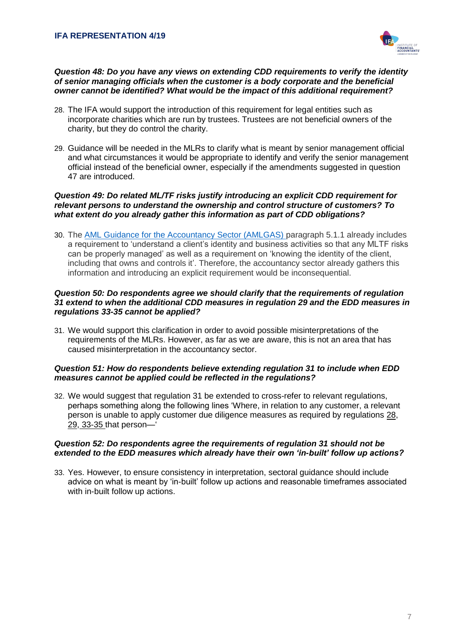

#### *Question 48: Do you have any views on extending CDD requirements to verify the identity of senior managing officials when the customer is a body corporate and the beneficial owner cannot be identified? What would be the impact of this additional requirement?*

- 28. The IFA would support the introduction of this requirement for legal entities such as incorporate charities which are run by trustees. Trustees are not beneficial owners of the charity, but they do control the charity.
- 29. Guidance will be needed in the MLRs to clarify what is meant by senior management official and what circumstances it would be appropriate to identify and verify the senior management official instead of the beneficial owner, especially if the amendments suggested in question 47 are introduced.

## *Question 49: Do related ML/TF risks justify introducing an explicit CDD requirement for relevant persons to understand the ownership and control structure of customers? To what extent do you already gather this information as part of CDD obligations?*

30. The [AML Guidance for the Accountancy Sector \(AMLGAS\) p](https://www.ccab.org.uk/documents/FinalAMLGuidance2018Formattedfinal.pdf)aragraph 5.1.1 already includes a requirement to 'understand a client's identity and business activities so that any MLTF risks can be properly managed' as well as a requirement on 'knowing the identity of the client, including that owns and controls it'. Therefore, the accountancy sector already gathers this information and introducing an explicit requirement would be inconsequential.

### *Question 50: Do respondents agree we should clarify that the requirements of regulation 31 extend to when the additional CDD measures in regulation 29 and the EDD measures in regulations 33-35 cannot be applied?*

31. We would support this clarification in order to avoid possible misinterpretations of the requirements of the MLRs. However, as far as we are aware, this is not an area that has caused misinterpretation in the accountancy sector.

## *Question 51: How do respondents believe extending regulation 31 to include when EDD measures cannot be applied could be reflected in the regulations?*

32. We would suggest that regulation 31 be extended to cross-refer to relevant regulations, perhaps something along the following lines 'Where, in relation to any customer, a relevant person is unable to apply customer due diligence measures as required by regulations [28,](http://www.legislation.gov.uk/uksi/2017/692/made#regulation-28) 29, 33-35 that person—'

## *Question 52: Do respondents agree the requirements of regulation 31 should not be extended to the EDD measures which already have their own 'in-built' follow up actions?*

33. Yes. However, to ensure consistency in interpretation, sectoral guidance should include advice on what is meant by 'in-built' follow up actions and reasonable timeframes associated with in-built follow up actions.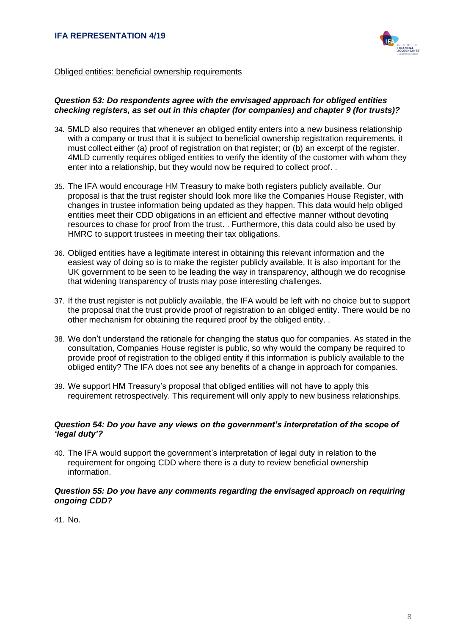

## Obliged entities: beneficial ownership requirements

#### *Question 53: Do respondents agree with the envisaged approach for obliged entities checking registers, as set out in this chapter (for companies) and chapter 9 (for trusts)?*

- 34. 5MLD also requires that whenever an obliged entity enters into a new business relationship with a company or trust that it is subject to beneficial ownership registration requirements, it must collect either (a) proof of registration on that register; or (b) an excerpt of the register. 4MLD currently requires obliged entities to verify the identity of the customer with whom they enter into a relationship, but they would now be required to collect proof. .
- 35. The IFA would encourage HM Treasury to make both registers publicly available. Our proposal is that the trust register should look more like the Companies House Register, with changes in trustee information being updated as they happen. This data would help obliged entities meet their CDD obligations in an efficient and effective manner without devoting resources to chase for proof from the trust. . Furthermore, this data could also be used by HMRC to support trustees in meeting their tax obligations.
- 36. Obliged entities have a legitimate interest in obtaining this relevant information and the easiest way of doing so is to make the register publicly available. It is also important for the UK government to be seen to be leading the way in transparency, although we do recognise that widening transparency of trusts may pose interesting challenges.
- 37. If the trust register is not publicly available, the IFA would be left with no choice but to support the proposal that the trust provide proof of registration to an obliged entity. There would be no other mechanism for obtaining the required proof by the obliged entity. .
- 38. We don't understand the rationale for changing the status quo for companies. As stated in the consultation, Companies House register is public, so why would the company be required to provide proof of registration to the obliged entity if this information is publicly available to the obliged entity? The IFA does not see any benefits of a change in approach for companies.
- 39. We support HM Treasury's proposal that obliged entities will not have to apply this requirement retrospectively. This requirement will only apply to new business relationships.

## *Question 54: Do you have any views on the government's interpretation of the scope of 'legal duty'?*

40. The IFA would support the government's interpretation of legal duty in relation to the requirement for ongoing CDD where there is a duty to review beneficial ownership information.

## *Question 55: Do you have any comments regarding the envisaged approach on requiring ongoing CDD?*

41. No.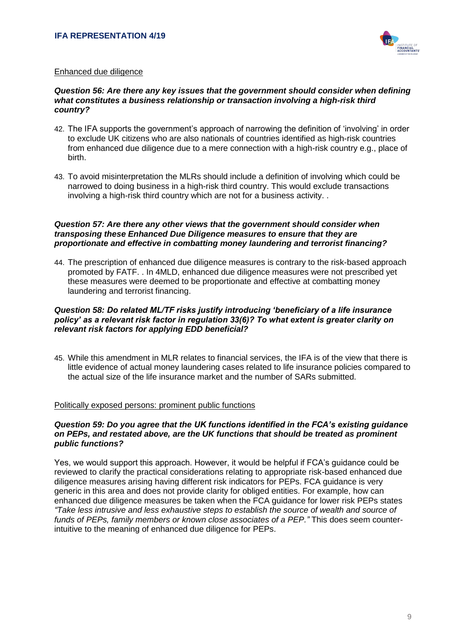

## Enhanced due diligence

## *Question 56: Are there any key issues that the government should consider when defining what constitutes a business relationship or transaction involving a high-risk third country?*

- 42. The IFA supports the government's approach of narrowing the definition of 'involving' in order to exclude UK citizens who are also nationals of countries identified as high-risk countries from enhanced due diligence due to a mere connection with a high-risk country e.g., place of birth.
- 43. To avoid misinterpretation the MLRs should include a definition of involving which could be narrowed to doing business in a high-risk third country. This would exclude transactions involving a high-risk third country which are not for a business activity. .

## *Question 57: Are there any other views that the government should consider when transposing these Enhanced Due Diligence measures to ensure that they are proportionate and effective in combatting money laundering and terrorist financing?*

44. The prescription of enhanced due diligence measures is contrary to the risk-based approach promoted by FATF. . In 4MLD, enhanced due diligence measures were not prescribed yet these measures were deemed to be proportionate and effective at combatting money laundering and terrorist financing.

## *Question 58: Do related ML/TF risks justify introducing 'beneficiary of a life insurance policy' as a relevant risk factor in regulation 33(6)? To what extent is greater clarity on relevant risk factors for applying EDD beneficial?*

45. While this amendment in MLR relates to financial services, the IFA is of the view that there is little evidence of actual money laundering cases related to life insurance policies compared to the actual size of the life insurance market and the number of SARs submitted.

#### Politically exposed persons: prominent public functions

#### *Question 59: Do you agree that the UK functions identified in the FCA's existing guidance on PEPs, and restated above, are the UK functions that should be treated as prominent public functions?*

Yes, we would support this approach. However, it would be helpful if FCA's guidance could be reviewed to clarify the practical considerations relating to appropriate risk-based enhanced due diligence measures arising having different risk indicators for PEPs. FCA guidance is very generic in this area and does not provide clarity for obliged entities. For example, how can enhanced due diligence measures be taken when the FCA guidance for lower risk PEPs states *"Take less intrusive and less exhaustive steps to establish the source of wealth and source of funds of PEPs, family members or known close associates of a PEP."* This does seem counterintuitive to the meaning of enhanced due diligence for PEPs.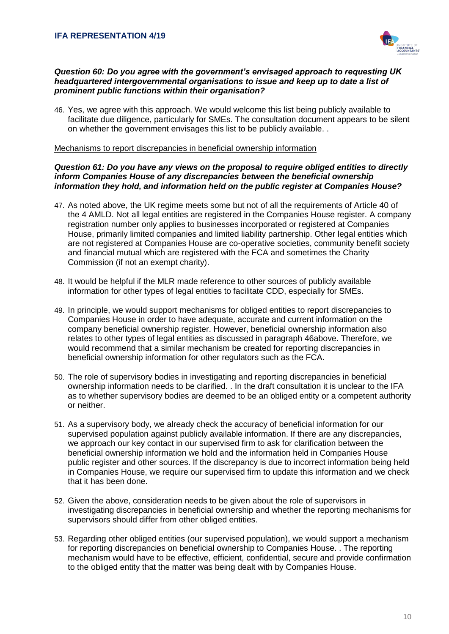

## *Question 60: Do you agree with the government's envisaged approach to requesting UK headquartered intergovernmental organisations to issue and keep up to date a list of prominent public functions within their organisation?*

46. Yes, we agree with this approach. We would welcome this list being publicly available to facilitate due diligence, particularly for SMEs. The consultation document appears to be silent on whether the government envisages this list to be publicly available. .

#### Mechanisms to report discrepancies in beneficial ownership information

## *Question 61: Do you have any views on the proposal to require obliged entities to directly inform Companies House of any discrepancies between the beneficial ownership information they hold, and information held on the public register at Companies House?*

- 47. As noted above, the UK regime meets some but not of all the requirements of Article 40 of the 4 AMLD. Not all legal entities are registered in the Companies House register. A company registration number only applies to businesses incorporated or registered at Companies House, primarily limited companies and limited liability partnership. Other legal entities which are not registered at Companies House are co-operative societies, community benefit society and financial mutual which are registered with the FCA and sometimes the Charity Commission (if not an exempt charity).
- 48. It would be helpful if the MLR made reference to other sources of publicly available information for other types of legal entities to facilitate CDD, especially for SMEs.
- 49. In principle, we would support mechanisms for obliged entities to report discrepancies to Companies House in order to have adequate, accurate and current information on the company beneficial ownership register. However, beneficial ownership information also relates to other types of legal entities as discussed in paragraph 46above. Therefore, we would recommend that a similar mechanism be created for reporting discrepancies in beneficial ownership information for other regulators such as the FCA.
- 50. The role of supervisory bodies in investigating and reporting discrepancies in beneficial ownership information needs to be clarified. . In the draft consultation it is unclear to the IFA as to whether supervisory bodies are deemed to be an obliged entity or a competent authority or neither.
- 51. As a supervisory body, we already check the accuracy of beneficial information for our supervised population against publicly available information. If there are any discrepancies, we approach our key contact in our supervised firm to ask for clarification between the beneficial ownership information we hold and the information held in Companies House public register and other sources. If the discrepancy is due to incorrect information being held in Companies House, we require our supervised firm to update this information and we check that it has been done.
- 52. Given the above, consideration needs to be given about the role of supervisors in investigating discrepancies in beneficial ownership and whether the reporting mechanisms for supervisors should differ from other obliged entities.
- 53. Regarding other obliged entities (our supervised population), we would support a mechanism for reporting discrepancies on beneficial ownership to Companies House. . The reporting mechanism would have to be effective, efficient, confidential, secure and provide confirmation to the obliged entity that the matter was being dealt with by Companies House.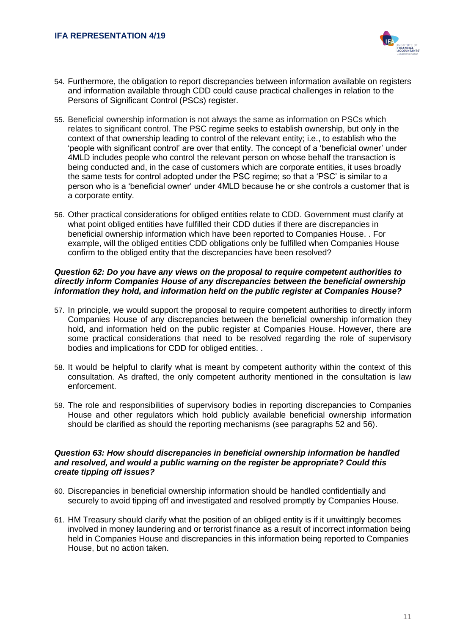

- 54. Furthermore, the obligation to report discrepancies between information available on registers and information available through CDD could cause practical challenges in relation to the Persons of Significant Control (PSCs) register.
- 55. Beneficial ownership information is not always the same as information on PSCs which relates to significant control. The PSC regime seeks to establish ownership, but only in the context of that ownership leading to control of the relevant entity; i.e., to establish who the 'people with significant control' are over that entity. The concept of a 'beneficial owner' under 4MLD includes people who control the relevant person on whose behalf the transaction is being conducted and, in the case of customers which are corporate entities, it uses broadly the same tests for control adopted under the PSC regime; so that a 'PSC' is similar to a person who is a 'beneficial owner' under 4MLD because he or she controls a customer that is a corporate entity.
- 56. Other practical considerations for obliged entities relate to CDD. Government must clarify at what point obliged entities have fulfilled their CDD duties if there are discrepancies in beneficial ownership information which have been reported to Companies House. . For example, will the obliged entities CDD obligations only be fulfilled when Companies House confirm to the obliged entity that the discrepancies have been resolved?

## *Question 62: Do you have any views on the proposal to require competent authorities to directly inform Companies House of any discrepancies between the beneficial ownership information they hold, and information held on the public register at Companies House?*

- 57. In principle, we would support the proposal to require competent authorities to directly inform Companies House of any discrepancies between the beneficial ownership information they hold, and information held on the public register at Companies House. However, there are some practical considerations that need to be resolved regarding the role of supervisory bodies and implications for CDD for obliged entities. .
- 58. It would be helpful to clarify what is meant by competent authority within the context of this consultation. As drafted, the only competent authority mentioned in the consultation is law enforcement.
- 59. The role and responsibilities of supervisory bodies in reporting discrepancies to Companies House and other regulators which hold publicly available beneficial ownership information should be clarified as should the reporting mechanisms (see paragraphs 52 and 56).

#### *Question 63: How should discrepancies in beneficial ownership information be handled and resolved, and would a public warning on the register be appropriate? Could this create tipping off issues?*

- 60. Discrepancies in beneficial ownership information should be handled confidentially and securely to avoid tipping off and investigated and resolved promptly by Companies House.
- 61. HM Treasury should clarify what the position of an obliged entity is if it unwittingly becomes involved in money laundering and or terrorist finance as a result of incorrect information being held in Companies House and discrepancies in this information being reported to Companies House, but no action taken.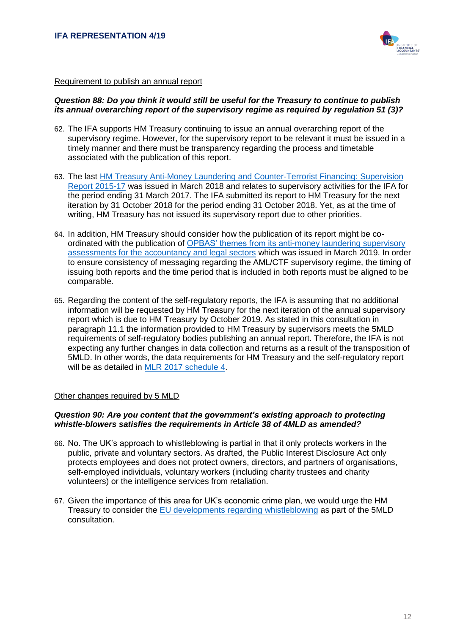

#### Requirement to publish an annual report

## *Question 88: Do you think it would still be useful for the Treasury to continue to publish its annual overarching report of the supervisory regime as required by regulation 51 (3)?*

- 62. The IFA supports HM Treasury continuing to issue an annual overarching report of the supervisory regime. However, for the supervisory report to be relevant it must be issued in a timely manner and there must be transparency regarding the process and timetable associated with the publication of this report.
- 63. The last [HM Treasury Anti-Money Laundering and Counter-Terrorist Financing: Supervision](https://assets.publishing.service.gov.uk/government/uploads/system/uploads/attachment_data/file/685248/PU2146_AML_web.pdf)  [Report 2015-17](https://assets.publishing.service.gov.uk/government/uploads/system/uploads/attachment_data/file/685248/PU2146_AML_web.pdf) was issued in March 2018 and relates to supervisory activities for the IFA for the period ending 31 March 2017. The IFA submitted its report to HM Treasury for the next iteration by 31 October 2018 for the period ending 31 October 2018. Yet, as at the time of writing, HM Treasury has not issued its supervisory report due to other priorities.
- 64. In addition, HM Treasury should consider how the publication of its report might be coordinated with the publication of [OPBAS' themes from its anti-money laundering supervisory](https://www.fca.org.uk/publication/opbas/themes-2018-opbas-anti-money-laundering-supervisory-assessments.pdf)  [assessments for the accountancy and legal sectors](https://www.fca.org.uk/publication/opbas/themes-2018-opbas-anti-money-laundering-supervisory-assessments.pdf) which was issued in March 2019. In order to ensure consistency of messaging regarding the AML/CTF supervisory regime, the timing of issuing both reports and the time period that is included in both reports must be aligned to be comparable.
- 65. Regarding the content of the self-regulatory reports, the IFA is assuming that no additional information will be requested by HM Treasury for the next iteration of the annual supervisory report which is due to HM Treasury by October 2019. As stated in this consultation in paragraph 11.1 the information provided to HM Treasury by supervisors meets the 5MLD requirements of self-regulatory bodies publishing an annual report. Therefore, the IFA is not expecting any further changes in data collection and returns as a result of the transposition of 5MLD. In other words, the data requirements for HM Treasury and the self-regulatory report will be as detailed in [MLR 2017 schedule 4.](http://www.legislation.gov.uk/uksi/2017/692/made)

## Other changes required by 5 MLD

## *Question 90: Are you content that the government's existing approach to protecting whistle-blowers satisfies the requirements in Article 38 of 4MLD as amended?*

- 66. No. The UK's approach to whistleblowing is partial in that it only protects workers in the public, private and voluntary sectors. As drafted, the Public Interest Disclosure Act only protects employees and does not protect owners, directors, and partners of organisations, self-employed individuals, voluntary workers (including charity trustees and charity volunteers) or the intelligence services from retaliation.
- 67. Given the importance of this area for UK's economic crime plan, we would urge the HM Treasury to consider the [EU developments regarding whistleblowing](http://europa.eu/rapid/press-release_IP-19-1604_en.htm) as part of the 5MLD consultation.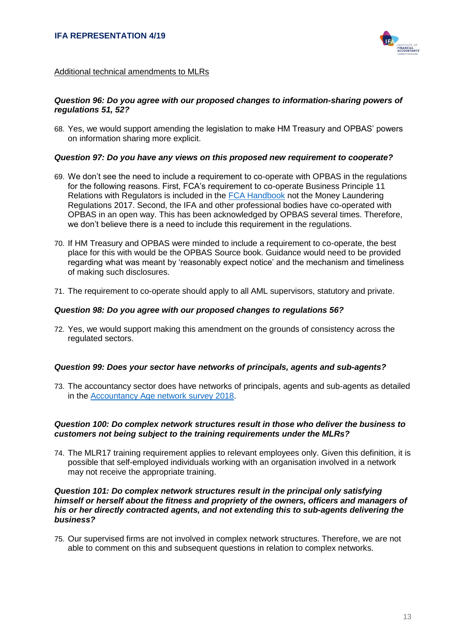

## Additional technical amendments to MLRs

#### *Question 96: Do you agree with our proposed changes to information-sharing powers of regulations 51, 52?*

68. Yes, we would support amending the legislation to make HM Treasury and OPBAS' powers on information sharing more explicit.

#### *Question 97: Do you have any views on this proposed new requirement to cooperate?*

- 69. We don't see the need to include a requirement to co-operate with OPBAS in the regulations for the following reasons. First, FCA's requirement to co-operate Business Principle 11 Relations with Regulators is included in the [FCA Handbook](https://www.handbook.fca.org.uk/handbook/PRIN/2/) not the Money Laundering Regulations 2017. Second, the IFA and other professional bodies have co-operated with OPBAS in an open way. This has been acknowledged by OPBAS several times. Therefore, we don't believe there is a need to include this requirement in the regulations.
- 70. If HM Treasury and OPBAS were minded to include a requirement to co-operate, the best place for this with would be the OPBAS Source book. Guidance would need to be provided regarding what was meant by 'reasonably expect notice' and the mechanism and timeliness of making such disclosures.
- 71. The requirement to co-operate should apply to all AML supervisors, statutory and private.

#### *Question 98: Do you agree with our proposed changes to regulations 56?*

72. Yes, we would support making this amendment on the grounds of consistency across the regulated sectors.

## *Question 99: Does your sector have networks of principals, agents and sub-agents?*

73. The accountancy sector does have networks of principals, agents and sub-agents as detailed in the [Accountancy Age network survey 2018.](https://www.accountancyage.com/rankings/top-20-international-networks-2018/)

## *Question 100: Do complex network structures result in those who deliver the business to customers not being subject to the training requirements under the MLRs?*

74. The MLR17 training requirement applies to relevant employees only. Given this definition, it is possible that self-employed individuals working with an organisation involved in a network may not receive the appropriate training.

#### *Question 101: Do complex network structures result in the principal only satisfying himself or herself about the fitness and propriety of the owners, officers and managers of his or her directly contracted agents, and not extending this to sub-agents delivering the business?*

75. Our supervised firms are not involved in complex network structures. Therefore, we are not able to comment on this and subsequent questions in relation to complex networks.